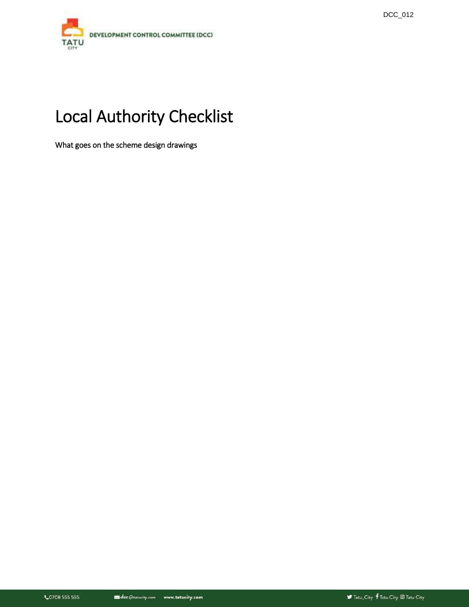

# Local Authority Checklist

What goes on the scheme design drawings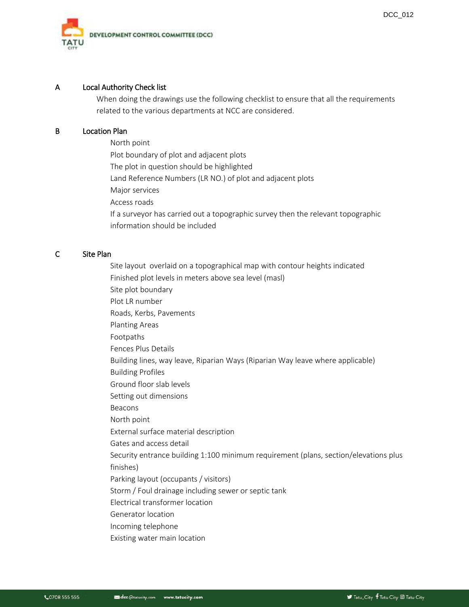

## A Local Authority Check list

When doing the drawings use the following checklist to ensure that all the requirements related to the various departments at NCC are considered.

## B Location Plan

North point Plot boundary of plot and adjacent plots The plot in question should be highlighted Land Reference Numbers (LR NO.) of plot and adjacent plots Major services Access roads If a surveyor has carried out a topographic survey then the relevant topographic information should be included

## C Site Plan

Site layout overlaid on a topographical map with contour heights indicated Finished plot levels in meters above sea level (masl) Site plot boundary Plot LR number Roads, Kerbs, Pavements Planting Areas Footpaths Fences Plus Details Building lines, way leave, Riparian Ways (Riparian Way leave where applicable) Building Profiles Ground floor slab levels Setting out dimensions Beacons North point External surface material description Gates and access detail Security entrance building 1:100 minimum requirement (plans, section/elevations plus finishes) Parking layout (occupants / visitors) Storm / Foul drainage including sewer or septic tank Electrical transformer location Generator location Incoming telephone Existing water main location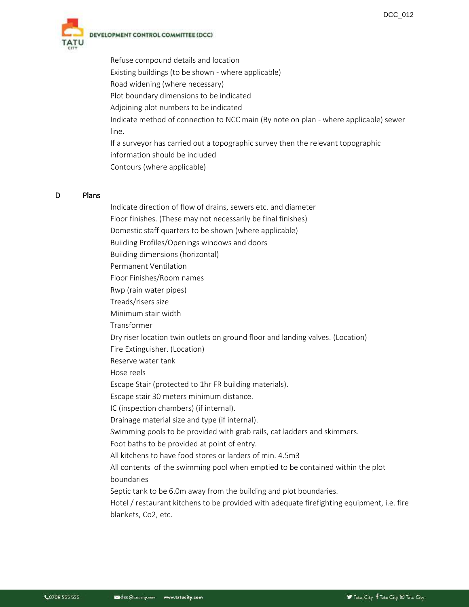

Refuse compound details and location Existing buildings (to be shown - where applicable) Road widening (where necessary) Plot boundary dimensions to be indicated Adjoining plot numbers to be indicated Indicate method of connection to NCC main (By note on plan - where applicable) sewer line. If a surveyor has carried out a topographic survey then the relevant topographic information should be included Contours (where applicable)

#### D Plans

Indicate direction of flow of drains, sewers etc. and diameter Floor finishes. (These may not necessarily be final finishes) Domestic staff quarters to be shown (where applicable) Building Profiles/Openings windows and doors Building dimensions (horizontal) Permanent Ventilation Floor Finishes/Room names Rwp (rain water pipes) Treads/risers size Minimum stair width Transformer Dry riser location twin outlets on ground floor and landing valves. (Location) Fire Extinguisher. (Location) Reserve water tank Hose reels Escape Stair (protected to 1hr FR building materials). Escape stair 30 meters minimum distance. IC (inspection chambers) (if internal). Drainage material size and type (if internal). Swimming pools to be provided with grab rails, cat ladders and skimmers. Foot baths to be provided at point of entry. All kitchens to have food stores or larders of min. 4.5m3 All contents of the swimming pool when emptied to be contained within the plot boundaries Septic tank to be 6.0m away from the building and plot boundaries. Hotel / restaurant kitchens to be provided with adequate firefighting equipment, i.e. fire blankets, Co2, etc.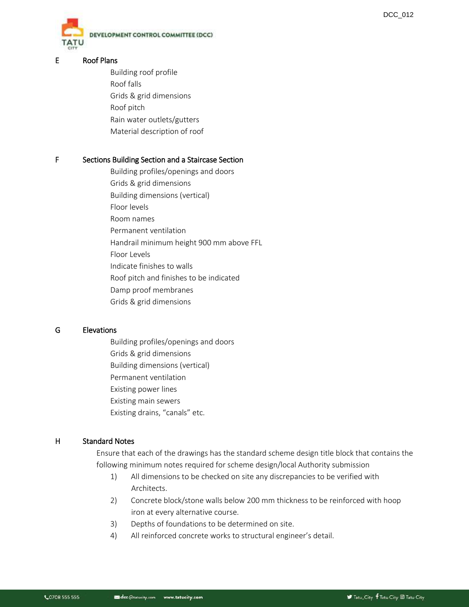

DEVELOPMENT CONTROL COMMITTEE (DCC)

## E Roof Plans

Building roof profile Roof falls Grids & grid dimensions Roof pitch Rain water outlets/gutters Material description of roof

## F Sections Building Section and a Staircase Section

- Building profiles/openings and doors
- Grids & grid dimensions
- Building dimensions (vertical)
- Floor levels Room names
- Permanent ventilation
- Handrail minimum height 900 mm above FFL
- Floor Levels
- Indicate finishes to walls
- Roof pitch and finishes to be indicated
- Damp proof membranes
- Grids & grid dimensions

## G Elevations

Building profiles/openings and doors Grids & grid dimensions Building dimensions (vertical) Permanent ventilation Existing power lines Existing main sewers Existing drains, "canals" etc.

# H Standard Notes

Ensure that each of the drawings has the standard scheme design title block that contains the following minimum notes required for scheme design/local Authority submission

- 1) All dimensions to be checked on site any discrepancies to be verified with Architects.
- 2) Concrete block/stone walls below 200 mm thickness to be reinforced with hoop iron at every alternative course.
- 3) Depths of foundations to be determined on site.
- 4) All reinforced concrete works to structural engineer's detail.